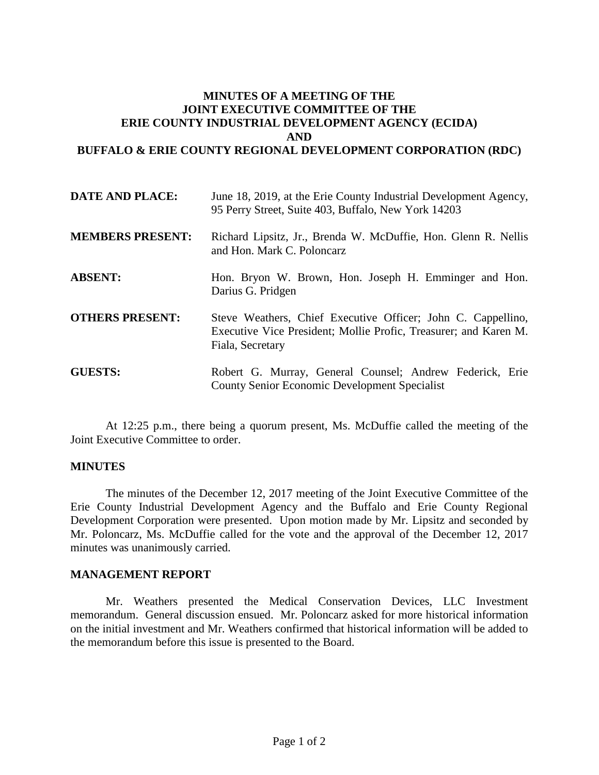# **MINUTES OF A MEETING OF THE JOINT EXECUTIVE COMMITTEE OF THE ERIE COUNTY INDUSTRIAL DEVELOPMENT AGENCY (ECIDA) AND BUFFALO & ERIE COUNTY REGIONAL DEVELOPMENT CORPORATION (RDC)**

| <b>DATE AND PLACE:</b>  | June 18, 2019, at the Erie County Industrial Development Agency,<br>95 Perry Street, Suite 403, Buffalo, New York 14203                              |
|-------------------------|------------------------------------------------------------------------------------------------------------------------------------------------------|
| <b>MEMBERS PRESENT:</b> | Richard Lipsitz, Jr., Brenda W. McDuffie, Hon. Glenn R. Nellis<br>and Hon. Mark C. Poloncarz                                                         |
| <b>ABSENT:</b>          | Hon. Bryon W. Brown, Hon. Joseph H. Emminger and Hon.<br>Darius G. Pridgen                                                                           |
| <b>OTHERS PRESENT:</b>  | Steve Weathers, Chief Executive Officer; John C. Cappellino,<br>Executive Vice President; Mollie Profic, Treasurer; and Karen M.<br>Fiala, Secretary |
| <b>GUESTS:</b>          | Robert G. Murray, General Counsel; Andrew Federick, Erie<br><b>County Senior Economic Development Specialist</b>                                     |

At 12:25 p.m., there being a quorum present, Ms. McDuffie called the meeting of the Joint Executive Committee to order.

### **MINUTES**

The minutes of the December 12, 2017 meeting of the Joint Executive Committee of the Erie County Industrial Development Agency and the Buffalo and Erie County Regional Development Corporation were presented. Upon motion made by Mr. Lipsitz and seconded by Mr. Poloncarz, Ms. McDuffie called for the vote and the approval of the December 12, 2017 minutes was unanimously carried.

### **MANAGEMENT REPORT**

Mr. Weathers presented the Medical Conservation Devices, LLC Investment memorandum. General discussion ensued. Mr. Poloncarz asked for more historical information on the initial investment and Mr. Weathers confirmed that historical information will be added to the memorandum before this issue is presented to the Board.